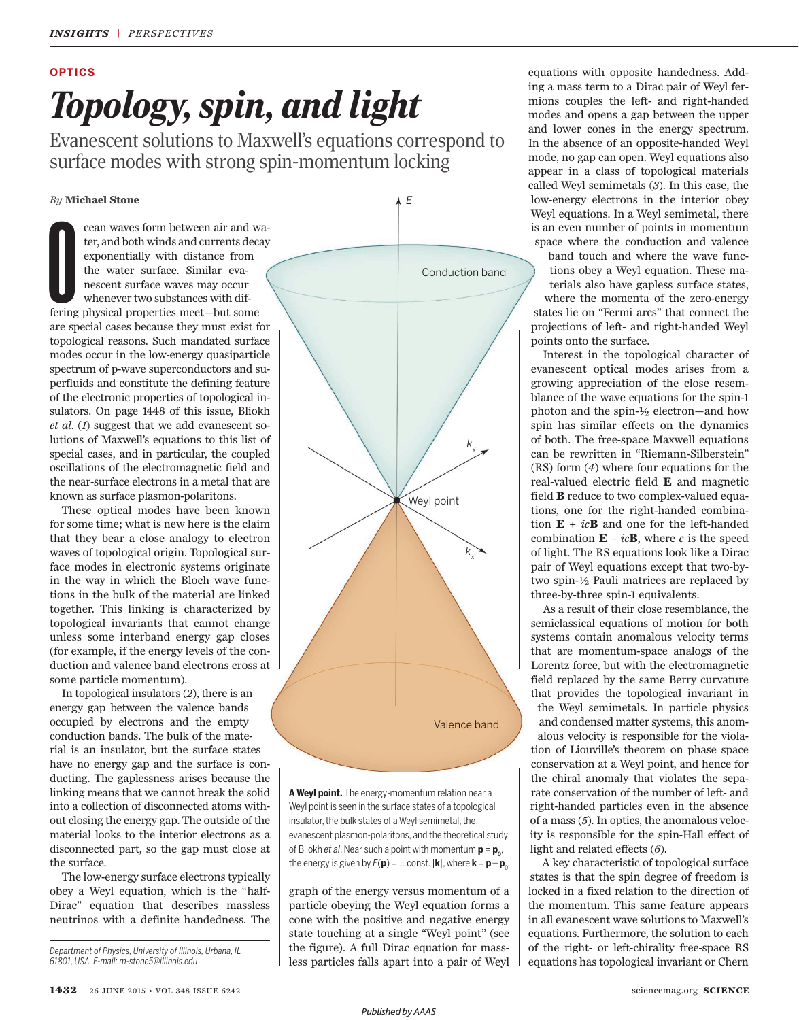# *Topology, spin, and light* **OPTICS**

Evanescent solutions to Maxwell's equations correspond to surface modes with strong spin-momentum locking

### *By* **Michael Stone**

cean waves form between air and witer, and both winds and currents decay<br>exponentially with distance from the water surface. Similar eva-<br>nescent surface waves may occur<br>whenever two substances with dif-<br>fering physical pr cean waves form between air and water, and both winds and currents decay exponentially with distance from the water surface. Similar evanescent surface waves may occur whenever two substances with difare special cases because they must exist for topological reasons. Such mandated surface modes occur in the low-energy quasiparticle spectrum of p-wave superconductors and superfluids and constitute the defining feature of the electronic properties of topological insulators. On page 1448 of this issue, Bliokh *et al.* (1) suggest that we add evanescent solutions of Maxwell's equations to this list of special cases, and in particular, the coupled oscillations of the electromagnetic field and the near-surface electrons in a metal that are known as surface plasmon-polaritons.

These optical modes have been known for some time; what is new here is the claim that they bear a close analogy to electron waves of topological origin. Topological surface modes in electronic systems originate in the way in which the Bloch wave functions in the bulk of the material are linked together. This linking is characterized by topological invariants that cannot change unless some interband energy gap closes (for example, if the energy levels of the conduction and valence band electrons cross at some particle momentum).

In topological insulators (2), there is an energy gap between the valence bands occupied by electrons and the empty conduction bands. The bulk of the material is an insulator, but the surface states have no energy gap and the surface is conducting. The gaplessness arises because the linking means that we cannot break the solid into a collection of disconnected atoms without closing the energy gap. The outside of the material looks to the interior electrons as a disconnected part, so the gap must close at the surface.

The low-energy surface electrons typically obey a Weyl equation, which is the "half-Dirac" equation that describes massless neutrinos with a definite handedness. The

*Department of Physics, University of Illinois, Urbana, IL 61801, USA. E-mail: m-stone5@illinois.edu*



**A Weyl point.** The energy-momentum relation near a Weyl point is seen in the surface states of a topological insulator, the bulk states of a Weyl semimetal, the evanescent plasmon-polaritons, and the theoretical study of Bliokh *et al.* Near such a point with momentum  $\boldsymbol{\mathsf{p}} = \boldsymbol{\mathsf{p}}_\textnormal{o}$ , the energy is given by  $E(\mathbf{p}) = \pm$  const.  $|\mathbf{k}|$ , where  $\mathbf{k} = \mathbf{p} - \mathbf{p}_0$ .

graph of the energy versus momentum of a particle obeying the Weyl equation forms a cone with the positive and negative energy state touching at a single "Weyl point" (see the figure). A full Dirac equation for massless particles falls apart into a pair of Weyl equations with opposite handedness. Adding a mass term to a Dirac pair of Weyl fermions couples the left- and right-handed modes and opens a gap between the upper and lower cones in the energy spectrum. In the absence of an opposite-handed Weyl mode, no gap can open. Weyl equations also appear in a class of topological materials called Weyl semimetals (3). In this case, the low-energy electrons in the interior obey Weyl equations. In a Weyl semimetal, there is an even number of points in momentum space where the conduction and valence

band touch and where the wave functions obey a Weyl equation. These materials also have gapless surface states, where the momenta of the zero-energy states lie on "Fermi arcs" that connect the projections of left- and right-handed Weyl points onto the surface.

Interest in the topological character of evanescent optical modes arises from a growing appreciation of the close resemblance of the wave equations for the spin-1 photon and the spin-½ electron—and how spin has similar effects on the dynamics of both. The free-space Maxwell equations can be rewritten in "Riemann-Silberstein" (RS) form (4) where four equations for the real-valued electric field **E** and magnetic field **B** reduce to two complex-valued equations, one for the right-handed combination  $\mathbf{E} + i\mathbf{c}\mathbf{B}$  and one for the left-handed combination  $\mathbf{E} - ic\mathbf{B}$ , where *c* is the speed of light. The RS equations look like a Dirac pair of Weyl equations except that two-bytwo spin-½ Pauli matrices are replaced by three-by-three spin-1 equivalents.

As a result of their close resemblance, the semiclassical equations of motion for both systems contain anomalous velocity terms that are momentum-space analogs of the Lorentz force, but with the electromagnetic field replaced by the same Berry curvature that provides the topological invariant in the Weyl semimetals. In particle physics and condensed matter systems, this anomalous velocity is responsible for the violation of Liouville's theorem on phase space conservation at a Weyl point, and hence for the chiral anomaly that violates the separate conservation of the number of left- and right-handed particles even in the absence of a mass ( *5*). In optics, the anomalous velocity is responsible for the spin-Hall effect of light and related effects (6).

A key characteristic of topological surface states is that the spin degree of freedom is locked in a fixed relation to the direction of the momentum. This same feature appears in all evanescent wave solutions to Maxwell's equations. Furthermore, the solution to each of the right- or left-chirality free-space RS equations has topological invariant or Chern